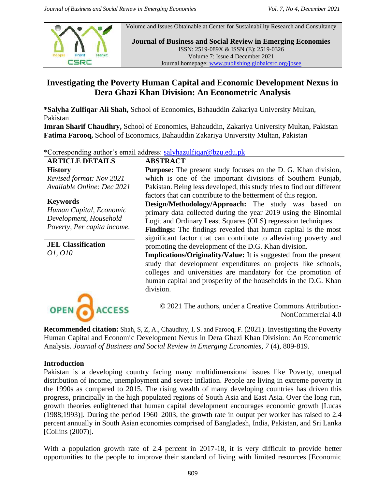

Volume and Issues Obtainable at Center for Sustainability Research and Consultancy

**Journal of Business and Social Review in Emerging Economies** ISSN: 2519-089X & ISSN (E): 2519-0326 Volume 7: Issue 4 December 2021 Journal homepage: [www.publishing.globalcsrc.org/jbsee](http://www.publishing.globalcsrc.org/jbsee)

# **Investigating the Poverty Human Capital and Economic Development Nexus in Dera Ghazi Khan Division: An Econometric Analysis**

**\*Salyha Zulfiqar Ali Shah,** School of Economics, Bahauddin Zakariya University Multan, Pakistan

**Imran Sharif Chaudhry,** School of Economics, Bahauddin, Zakariya University Multan, Pakistan **Fatima Farooq,** School of Economics, Bahauddin Zakariya University Multan, Pakistan

\*Corresponding author's email address: [salyhazulfiqar@bzu.edu.pk](mailto:salyhazulfiqar@bzu.edu.pk)

| <b>ARTICLE DETAILS</b>      | <b>ABSTRACT</b>                                                         |
|-----------------------------|-------------------------------------------------------------------------|
| <b>History</b>              | <b>Purpose:</b> The present study focuses on the D. G. Khan division,   |
| Revised format: Nov 2021    | which is one of the important divisions of Southern Punjab,             |
| Available Online: Dec 2021  | Pakistan. Being less developed, this study tries to find out different  |
|                             | factors that can contribute to the betterment of this region.           |
| <b>Keywords</b>             | Design/Methodology/Approach: The study was based on                     |
| Human Capital, Economic     | primary data collected during the year 2019 using the Binomial          |
| Development, Household      | Logit and Ordinary Least Squares (OLS) regression techniques.           |
| Poverty, Per capita income. | <b>Findings:</b> The findings revealed that human capital is the most   |
|                             | significant factor that can contribute to alleviating poverty and       |
| <b>JEL Classification</b>   | promoting the development of the D.G. Khan division.                    |
| 01, 010                     | <b>Implications/Originality/Value:</b> It is suggested from the present |
|                             | study that development expenditures on projects like schools,           |
|                             | colleges and universities are mandatory for the promotion of            |
|                             | human capital and prosperity of the households in the D.G. Khan         |
|                             | division.                                                               |
|                             |                                                                         |
|                             | © 2021 The authors, under a Creative Commons Attribution-               |
|                             | NonCommercial 4.0                                                       |

**Recommended citation:** Shah, S, Z, A., Chaudhry, I, S. and Farooq, F. (2021). Investigating the Poverty Human Capital and Economic Development Nexus in Dera Ghazi Khan Division: An Econometric Analysis. *Journal of Business and Social Review in Emerging Economies, 7* (4), 809-819.

# **Introduction**

Pakistan is a developing country facing many multidimensional issues like Poverty, unequal distribution of income, unemployment and severe inflation. People are living in extreme poverty in the 1990s as compared to 2015. The rising wealth of many developing countries has driven this progress, principally in the high populated regions of South Asia and East Asia. Over the long run, growth theories enlightened that human capital development encourages economic growth [Lucas (1988;1993)]. During the period 1960–2003, the growth rate in output per worker has raised to 2.4 percent annually in South Asian economies comprised of Bangladesh, India, Pakistan, and Sri Lanka [Collins (2007)].

With a population growth rate of 2.4 percent in 2017-18, it is very difficult to provide better opportunities to the people to improve their standard of living with limited resources [Economic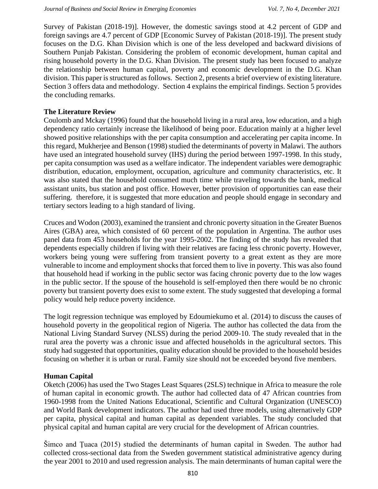Survey of Pakistan (2018-19)]. However, the domestic savings stood at 4.2 percent of GDP and foreign savings are 4.7 percent of GDP [Economic Survey of Pakistan (2018-19)]. The present study focuses on the D.G. Khan Division which is one of the less developed and backward divisions of Southern Punjab Pakistan. Considering the problem of economic development, human capital and rising household poverty in the D.G. Khan Division. The present study has been focused to analyze the relationship between human capital, poverty and economic development in the D.G. Khan division. This paper is structured as follows. Section 2, presents a brief overview of existing literature. Section 3 offers data and methodology. Section 4 explains the empirical findings. Section 5 provides the concluding remarks.

### **The Literature Review**

Coulomb and Mckay (1996) found that the household living in a rural area, low education, and a high dependency ratio certainly increase the likelihood of being poor. Education mainly at a higher level showed positive relationships with the per capita consumption and accelerating per capita income. In this regard, Mukherjee and Benson (1998) studied the determinants of poverty in Malawi. The authors have used an integrated household survey (IHS) during the period between 1997-1998. In this study, per capita consumption was used as a welfare indicator. The independent variables were demographic distribution, education, employment, occupation, agriculture and community characteristics, etc. It was also stated that the household consumed much time while traveling towards the bank, medical assistant units, bus station and post office. However, better provision of opportunities can ease their suffering. therefore, it is suggested that more education and people should engage in secondary and tertiary sectors leading to a high standard of living.

Cruces and Wodon (2003), examined the transient and chronic poverty situation in the Greater Buenos Aires (GBA) area, which consisted of 60 percent of the population in Argentina. The author uses panel data from 453 households for the year 1995-2002. The finding of the study has revealed that dependents especially children if living with their relatives are facing less chronic poverty. However, workers being young were suffering from transient poverty to a great extent as they are more vulnerable to income and employment shocks that forced them to live in poverty. This was also found that household head if working in the public sector was facing chronic poverty due to the low wages in the public sector. If the spouse of the household is self-employed then there would be no chronic poverty but transient poverty does exist to some extent. The study suggested that developing a formal policy would help reduce poverty incidence.

The logit regression technique was employed by Edoumiekumo et al. (2014) to discuss the causes of household poverty in the geopolitical region of Nigeria. The author has collected the data from the National Living Standard Survey (NLSS) during the period 2009-10. The study revealed that in the rural area the poverty was a chronic issue and affected households in the agricultural sectors. This study had suggested that opportunities, quality education should be provided to the household besides focusing on whether it is urban or rural. Family size should not be exceeded beyond five members.

# **Human Capital**

Oketch (2006) has used the Two Stages Least Squares (2SLS) technique in Africa to measure the role of human capital in economic growth. The author had collected data of 47 African countries from 1960-1998 from the United Nations Educational, Scientific and Cultural Organization (UNESCO) and World Bank development indicators. The author had used three models, using alternatively GDP per capita, physical capital and human capital as dependent variables. The study concluded that physical capital and human capital are very crucial for the development of African countries.

Šimco and Ţuaca (2015) studied the determinants of human capital in Sweden. The author had collected cross-sectional data from the Sweden government statistical administrative agency during the year 2001 to 2010 and used regression analysis. The main determinants of human capital were the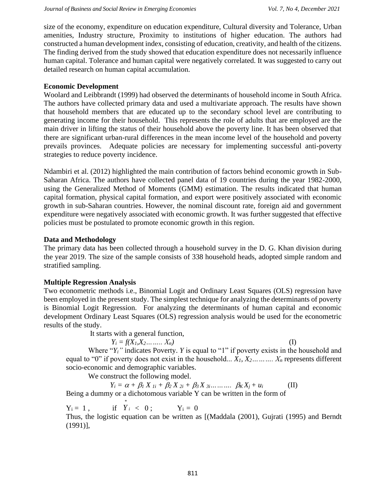size of the economy, expenditure on education expenditure, Cultural diversity and Tolerance, Urban amenities, Industry structure, Proximity to institutions of higher education. The authors had constructed a human development index, consisting of education, creativity, and health of the citizens. The finding derived from the study showed that education expenditure does not necessarily influence human capital. Tolerance and human capital were negatively correlated. It was suggested to carry out detailed research on human capital accumulation.

### **Economic Development**

Woolard and Leibbrandt (1999) had observed the determinants of household income in South Africa. The authors have collected primary data and used a multivariate approach. The results have shown that household members that are educated up to the secondary school level are contributing to generating income for their household. This represents the role of adults that are employed are the main driver in lifting the status of their household above the poverty line. It has been observed that there are significant urban-rural differences in the mean income level of the household and poverty prevails provinces. Adequate policies are necessary for implementing successful anti-poverty strategies to reduce poverty incidence.

Ndambiri et al. (2012) highlighted the main contribution of factors behind economic growth in Sub-Saharan Africa. The authors have collected panel data of 19 countries during the year 1982-2000, using the Generalized Method of Moments (GMM) estimation. The results indicated that human capital formation, physical capital formation, and export were positively associated with economic growth in sub-Saharan countries. However, the nominal discount rate, foreign aid and government expenditure were negatively associated with economic growth. It was further suggested that effective policies must be postulated to promote economic growth in this region.

# **Data and Methodology**

The primary data has been collected through a household survey in the D. G. Khan division during the year 2019. The size of the sample consists of 338 household heads, adopted simple random and stratified sampling.

# **Multiple Regression Analysis**

Two econometric methods i.e., Binomial Logit and Ordinary Least Squares (OLS) regression have been employed in the present study. The simplest technique for analyzing the determinants of poverty is Binomial Logit Regression. For analyzing the determinants of human capital and economic development Ordinary Least Squares (OLS) regression analysis would be used for the econometric results of the study.

It starts with a general function,

 $Y_i = f(X_1, X_2, \ldots, X_n)$  (I)

Where " $Y_i$ " indicates Poverty. *Y* is equal to "1" if poverty exists in the household and equal to "0" if poverty does not exist in the household...  $X_1, X_2, \ldots, X_n$  represents different socio-economic and demographic variables.

We construct the following model.

 $Y_i = \alpha + \beta_1 X_{1i} + \beta_2 X_{2i} + \beta_3 X_{3i} + \dots + \beta_K X_i + u_i$  (II) Being a dummy or a dichotomous variable Y can be written in the form of

 $Y_i = 1$ , *Y i* \*  $< 0$  ;  $Y_i = 0$ 

Thus, the logistic equation can be written as [(Maddala (2001), Gujrati (1995) and Berndt (1991)],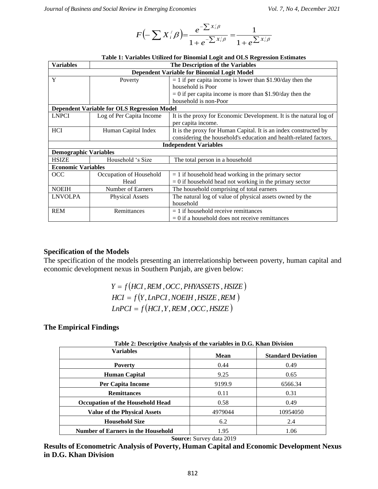$$
F\left(-\sum X_i^{'}\beta\right) = \frac{e^{-\sum x_i^{'}\beta}}{1+e^{-\sum x_i^{'}\beta}} = \frac{1}{1+e^{\sum x_i^{'}\beta}}
$$

| Table 1: Variables Utilized for Binomial Logit and OLS Regression Estimates<br><b>Variables</b> |                                                                                              |                                                                                                                                                         |                           |  |  |
|-------------------------------------------------------------------------------------------------|----------------------------------------------------------------------------------------------|---------------------------------------------------------------------------------------------------------------------------------------------------------|---------------------------|--|--|
| The Description of the Variables<br>Dependent Variable for Binomial Logit Model                 |                                                                                              |                                                                                                                                                         |                           |  |  |
| Y                                                                                               | Poverty                                                                                      | $= 1$ if per capita income is lower than \$1.90/day then the                                                                                            |                           |  |  |
|                                                                                                 |                                                                                              | household is Poor                                                                                                                                       |                           |  |  |
|                                                                                                 |                                                                                              | $= 0$ if per capita income is more than \$1.90/day then the<br>household is non-Poor                                                                    |                           |  |  |
|                                                                                                 | <b>Dependent Variable for OLS Regression Model</b>                                           |                                                                                                                                                         |                           |  |  |
| <b>LNPCI</b>                                                                                    | Log of Per Capita Income                                                                     | It is the proxy for Economic Development. It is the natural log of                                                                                      |                           |  |  |
|                                                                                                 |                                                                                              | per capita income.                                                                                                                                      |                           |  |  |
| HCI                                                                                             | Human Capital Index                                                                          | It is the proxy for Human Capital. It is an index constructed by<br>considering the household's education and health-related factors.                   |                           |  |  |
|                                                                                                 |                                                                                              | <b>Independent Variables</b>                                                                                                                            |                           |  |  |
| <b>Demographic Variables</b>                                                                    |                                                                                              |                                                                                                                                                         |                           |  |  |
| <b>HSIZE</b>                                                                                    | Household 's Size                                                                            | The total person in a household                                                                                                                         |                           |  |  |
| <b>Economic Variables</b>                                                                       |                                                                                              |                                                                                                                                                         |                           |  |  |
| OCC                                                                                             | Occupation of Household<br>Head                                                              | $= 1$ if household head working in the primary sector<br>$= 0$ if household head not working in the primary sector                                      |                           |  |  |
| <b>NOEIH</b>                                                                                    | Number of Earners                                                                            | The household comprising of total earners                                                                                                               |                           |  |  |
| <b>LNVOLPA</b>                                                                                  | <b>Physical Assets</b>                                                                       | The natural log of value of physical assets owned by the                                                                                                |                           |  |  |
|                                                                                                 |                                                                                              | household                                                                                                                                               |                           |  |  |
|                                                                                                 |                                                                                              | $= 1$ if household receive remittances                                                                                                                  |                           |  |  |
|                                                                                                 | Remittances                                                                                  |                                                                                                                                                         |                           |  |  |
| <b>REM</b>                                                                                      | pecification of the Models<br>conomic development nexus in Southern Punjab, are given below: | $= 0$ if a household does not receive remittances<br>the specification of the models presenting an interrelationship between poverty, human capital and |                           |  |  |
|                                                                                                 |                                                                                              | $Y = f(HCI, REM, OCC, PHYASSETS, HSIZE)$<br>$HCI = f(Y, LnPCI, NOEIH, HSIZE, REM)$<br>$LnPCI = f(HCI, Y, REM, OCC, HSIZE)$                              |                           |  |  |
|                                                                                                 | <b>Variables</b>                                                                             | Table 2: Descriptive Analysis of the variables in D.G. Khan Division<br><b>Mean</b>                                                                     | <b>Standard Deviation</b> |  |  |
|                                                                                                 | <b>Poverty</b>                                                                               | 0.44                                                                                                                                                    | 0.49                      |  |  |
| he Empirical Findings                                                                           | <b>Human Capital</b>                                                                         | 9.25                                                                                                                                                    | 0.65                      |  |  |
|                                                                                                 | Per Capita Income                                                                            | 9199.9                                                                                                                                                  | 6566.34                   |  |  |
|                                                                                                 | <b>Remittances</b>                                                                           | 0.11                                                                                                                                                    | 0.31                      |  |  |
|                                                                                                 |                                                                                              | 0.58                                                                                                                                                    | 0.49                      |  |  |
|                                                                                                 | <b>Occupation of the Household Head</b>                                                      |                                                                                                                                                         |                           |  |  |
|                                                                                                 | <b>Value of the Physical Assets</b>                                                          | 4979044                                                                                                                                                 | 10954050                  |  |  |
|                                                                                                 | <b>Household Size</b><br><b>Number of Earners in the Household</b>                           | 6.2<br>1.95                                                                                                                                             | 2.4<br>1.06               |  |  |

|  |  |  |  | Table 1: Variables Utilized for Binomial Logit and OLS Regression Estimates |  |
|--|--|--|--|-----------------------------------------------------------------------------|--|
|  |  |  |  |                                                                             |  |
|  |  |  |  |                                                                             |  |

#### **Specification of the Models**

### **The Empirical Findings**

| Table 2: Descriptive Analysis of the variables in D.G. Khan Division |         |                           |  |  |  |
|----------------------------------------------------------------------|---------|---------------------------|--|--|--|
| <b>Variables</b>                                                     | Mean    | <b>Standard Deviation</b> |  |  |  |
| <b>Poverty</b>                                                       | 0.44    | 0.49                      |  |  |  |
| Human Capital                                                        | 9.25    | 0.65                      |  |  |  |
| <b>Per Capita Income</b>                                             | 9199.9  | 6566.34                   |  |  |  |
| <b>Remittances</b>                                                   | 0.11    | 0.31                      |  |  |  |
| <b>Occupation of the Household Head</b>                              | 0.58    | 0.49                      |  |  |  |
| <b>Value of the Physical Assets</b>                                  | 4979044 | 10954050                  |  |  |  |
| <b>Household Size</b>                                                | 6.2     | 2.4                       |  |  |  |
| <b>Number of Earners in the Household</b>                            | 1.95    | 1.06                      |  |  |  |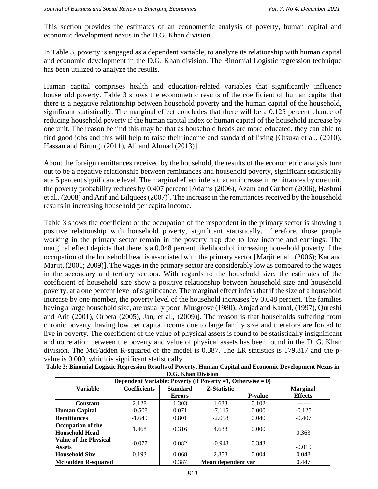This section provides the estimates of an econometric analysis of poverty, human capital and economic development nexus in the D.G. Khan division.

In Table 3, poverty is engaged as a dependent variable, to analyze its relationship with human capital and economic development in the D.G. Khan division. The Binomial Logistic regression technique has been utilized to analyze the results.

Human capital comprises health and education-related variables that significantly influence household poverty. Table 3 shows the econometric results of the coefficient of human capital that there is a negative relationship between household poverty and the human capital of the household, significant statistically. The marginal effect concludes that there will be a 0.125 percent chance of reducing household poverty if the human capital index or human capital of the household increase by one unit. The reason behind this may be that as household heads are more educated, they can able to find good jobs and this will help to raise their income and standard of living [Otsuka et al., (2010), Hassan and Birungi (2011), Ali and Ahmad (2013)].

About the foreign remittances received by the household, the results of the econometric analysis turn out to be a negative relationship between remittances and household poverty, significant statistically at a 5 percent significance level. The marginal effect infers that an increase in remittances by one unit, the poverty probability reduces by 0.407 percent [Adams (2006), Azam and Gurbert (2006), Hashmi et al., (2008) and Arif and Bilquees (2007)]. The increase in the remittances received by the household results in increasing household per capita income.

Table 3 shows the coefficient of the occupation of the respondent in the primary sector is showing a positive relationship with household poverty, significant statistically. Therefore, those people working in the primary sector remain in the poverty trap due to low income and earnings. The marginal effect depicts that there is a 0.048 percent likelihood of increasing household poverty if the occupation of the household head is associated with the primary sector [Marjit et al., (2006); Kar and Marjit,  $(2001; 2009)$ ]. The wages in the primary sector are considerably low as compared to the wages in the secondary and tertiary sectors. With regards to the household size, the estimates of the coefficient of household size show a positive relationship between household size and household poverty, at a one percent level of significance. The marginal effect infers that if the size of a household increase by one member, the poverty level of the household increases by 0.048 percent. The families having a large household size, are usually poor [Musgrove (1980), Amjad and Kamal, (1997), Qureshi and Arif (2001), Orbeta (2005), Jan, et al., (2009)]. The reason is that households suffering from chronic poverty, having low per capita income due to large family size and therefore are forced to live in poverty. The coefficient of the value of physical assets is found to be statistically insignificant and no relation between the poverty and value of physical assets has been found in the D. G. Khan division. The McFadden R-squared of the model is 0.387. The LR statistics is 179.817 and the pvalue is 0.000, which is significant statistically.

| Table 3: Binomial Logistic Regression Results of Poverty, Human Capital and Economic Development Nexus in |
|-----------------------------------------------------------------------------------------------------------|
| D.G. Khan Division                                                                                        |

| Dependent Variable: Poverty (if Poverty =1, Otherwise = $0$ ) |                     |                                  |                    |                |                                   |  |  |
|---------------------------------------------------------------|---------------------|----------------------------------|--------------------|----------------|-----------------------------------|--|--|
| <b>Variable</b>                                               | <b>Coefficients</b> | <b>Standard</b><br><b>Errors</b> | <b>Z-Statistic</b> | <b>P-value</b> | <b>Marginal</b><br><b>Effects</b> |  |  |
| <b>Constant</b>                                               | 2.128               | 1.303                            | 1.633              | 0.102          |                                   |  |  |
| <b>Human Capital</b>                                          | $-0.508$            | 0.071                            | $-7.115$           | 0.000          | $-0.125$                          |  |  |
| <b>Remittances</b>                                            | $-1.649$            | 0.801                            | $-2.058$           | 0.040          | $-0.407$                          |  |  |
| Occupation of the<br><b>Household Head</b>                    | 1.468               | 0.316                            | 4.638              | 0.000          | 0.363                             |  |  |
| <b>Value of the Physical</b><br><b>Assets</b>                 | $-0.077$            | 0.082                            | $-0.948$           | 0.343          | $-0.019$                          |  |  |
| <b>Household Size</b>                                         | 0.193               | 0.068                            | 2.858              | 0.004          | 0.048                             |  |  |
| <b>McFadden R-squared</b>                                     |                     | 0.387                            | Mean dependent var |                | 0.447                             |  |  |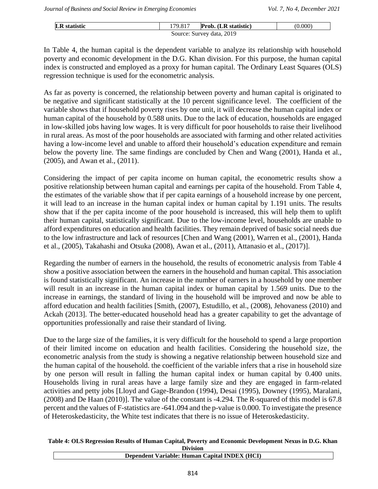| <b>LR</b> statistic | 179.817 | Prob. (LR statistic)      | (0.000) |
|---------------------|---------|---------------------------|---------|
|                     |         | Source: Survey data, 2019 |         |

In Table 4, the human capital is the dependent variable to analyze its relationship with household poverty and economic development in the D.G. Khan division. For this purpose, the human capital index is constructed and employed as a proxy for human capital. The Ordinary Least Squares (OLS) regression technique is used for the econometric analysis.

As far as poverty is concerned, the relationship between poverty and human capital is originated to be negative and significant statistically at the 10 percent significance level. The coefficient of the variable shows that if household poverty rises by one unit, it will decrease the human capital index or human capital of the household by 0.588 units. Due to the lack of education, households are engaged in low-skilled jobs having low wages. It is very difficult for poor households to raise their livelihood in rural areas. As most of the poor households are associated with farming and other related activities having a low-income level and unable to afford their household's education expenditure and remain below the poverty line. The same findings are concluded by Chen and Wang (2001), Handa et al., (2005), and Awan et al., (2011).

Considering the impact of per capita income on human capital, the econometric results show a positive relationship between human capital and earnings per capita of the household. From Table 4, the estimates of the variable show that if per capita earnings of a household increase by one percent, it will lead to an increase in the human capital index or human capital by 1.191 units. The results show that if the per capita income of the poor household is increased, this will help them to uplift their human capital, statistically significant. Due to the low-income level, households are unable to afford expenditures on education and health facilities. They remain deprived of basic social needs due to the low infrastructure and lack of resources [Chen and Wang (2001), Warren et al., (2001), Handa et al., (2005), Takahashi and Otsuka (2008), Awan et al., (2011), Attanasio et al., (2017)].

Regarding the number of earners in the household, the results of econometric analysis from Table 4 show a positive association between the earners in the household and human capital. This association is found statistically significant. An increase in the number of earners in a household by one member will result in an increase in the human capital index or human capital by 1.569 units. Due to the increase in earnings, the standard of living in the household will be improved and now be able to afford education and health facilities [Smith, (2007), Estudillo, et al., (2008), Jehovaness (2010) and Ackah (2013]. The better-educated household head has a greater capability to get the advantage of opportunities professionally and raise their standard of living.

Due to the large size of the families, it is very difficult for the household to spend a large proportion of their limited income on education and health facilities. Considering the household size, the econometric analysis from the study is showing a negative relationship between household size and the human capital of the household. the coefficient of the variable infers that a rise in household size by one person will result in falling the human capital index or human capital by 0.400 units. Households living in rural areas have a large family size and they are engaged in farm-related activities and petty jobs [Lloyd and Gage-Brandon (1994), Desai (1995), Downey (1995), Maralani, (2008) and De Haan (2010)]. The value of the constant is -4.294. The R-squared of this model is 67.8 percent and the values of F-statistics are -641.094 and the p-value is 0.000. To investigate the presence of Heteroskedasticity, the White test indicates that there is no issue of Heteroskedasticity.

#### **Table 4: OLS Regression Results of Human Capital, Poverty and Economic Development Nexus in D.G. Khan Division**

| ртуімп                                                            |
|-------------------------------------------------------------------|
| (HCI<br><b>Capital INDEY</b><br>: Variable: Human :<br>Denendent. |
|                                                                   |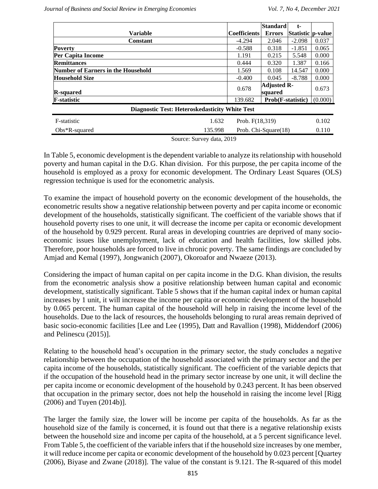|                                                       |                     | <b>Standard</b>          | t-                  |         |  |  |  |
|-------------------------------------------------------|---------------------|--------------------------|---------------------|---------|--|--|--|
| <b>Variable</b>                                       | <b>Coefficients</b> | <b>Errors</b>            | Statistic   p-value |         |  |  |  |
| <b>Constant</b>                                       | $-4.294$            | 2.046                    | $-2.098$            | 0.037   |  |  |  |
| Poverty                                               | $-0.588$            | 0.318                    | $-1.851$            | 0.065   |  |  |  |
| Per Capita Income                                     | 1.191               | 0.215                    | 5.548               | 0.000   |  |  |  |
| <b>Remittances</b>                                    | 0.444               | 0.320                    | 1.387               | 0.166   |  |  |  |
| <b>Number of Earners in the Household</b>             | 1.569               | 0.108                    | 14.547              | 0.000   |  |  |  |
| <b>Household Size</b>                                 | $-0.400$            | 0.045                    | $-8.788$            | 0.000   |  |  |  |
|                                                       | 0.678               | <b>Adjusted R-</b>       |                     | 0.673   |  |  |  |
| <b>R-squared</b>                                      |                     | squared                  |                     |         |  |  |  |
| <b>F-statistic</b>                                    | 139.682             | <b>Prob(F-statistic)</b> |                     | (0.000) |  |  |  |
| <b>Diagnostic Test: Heteroskedasticity White Test</b> |                     |                          |                     |         |  |  |  |
| F-statistic<br>1.632                                  | Prob. F(18,319)     |                          |                     | 0.102   |  |  |  |
| 135.998<br>$Obs*R$ -squared                           |                     | Prob. Chi-Square(18)     |                     | 0.110   |  |  |  |

Source: Survey data, 2019

In Table 5, economic development is the dependent variable to analyze its relationship with household poverty and human capital in the D.G. Khan division. For this purpose, the per capita income of the household is employed as a proxy for economic development. The Ordinary Least Squares (OLS) regression technique is used for the econometric analysis.

To examine the impact of household poverty on the economic development of the households, the econometric results show a negative relationship between poverty and per capita income or economic development of the households, statistically significant. The coefficient of the variable shows that if household poverty rises to one unit, it will decrease the income per capita or economic development of the household by 0.929 percent. Rural areas in developing countries are deprived of many socioeconomic issues like unemployment, lack of education and health facilities, low skilled jobs. Therefore, poor households are forced to live in chronic poverty. The same findings are concluded by Amjad and Kemal (1997), Jongwanich (2007), Okoroafor and Nwaeze (2013).

Considering the impact of human capital on per capita income in the D.G. Khan division, the results from the econometric analysis show a positive relationship between human capital and economic development, statistically significant. Table 5 shows that if the human capital index or human capital increases by 1 unit, it will increase the income per capita or economic development of the household by 0.065 percent. The human capital of the household will help in raising the income level of the households. Due to the lack of resources, the households belonging to rural areas remain deprived of basic socio-economic facilities [Lee and Lee (1995), Datt and Ravallion (1998), Middendorf (2006) and Pelinescu (2015)].

Relating to the household head's occupation in the primary sector, the study concludes a negative relationship between the occupation of the household associated with the primary sector and the per capita income of the households, statistically significant. The coefficient of the variable depicts that if the occupation of the household head in the primary sector increase by one unit, it will decline the per capita income or economic development of the household by 0.243 percent. It has been observed that occupation in the primary sector, does not help the household in raising the income level [Rigg (2006) and Tuyen (2014b)].

The larger the family size, the lower will be income per capita of the households. As far as the household size of the family is concerned, it is found out that there is a negative relationship exists between the household size and income per capita of the household, at a 5 percent significance level. From Table 5, the coefficient of the variable infers that if the household size increases by one member, it will reduce income per capita or economic development of the household by 0.023 percent [Quartey (2006), Biyase and Zwane (2018)]. The value of the constant is 9.121. The R-squared of this model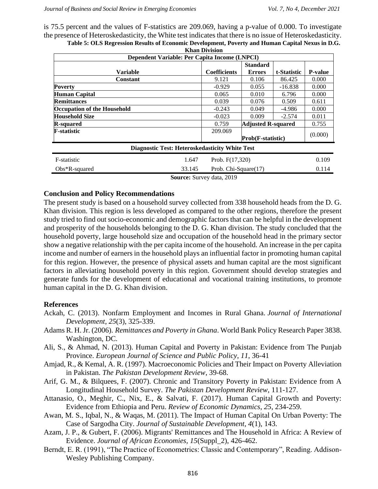is 75.5 percent and the values of F-statistics are 209.069, having a p-value of 0.000. To investigate the presence of Heteroskedasticity, the White test indicates that there is no issue of Heteroskedasticity. **Table 5: OLS Regression Results of Economic Development, Poverty and Human Capital Nexus in D.G.** 

|                                                | <b>Khan Division</b>         |                           |             |                |  |  |  |  |
|------------------------------------------------|------------------------------|---------------------------|-------------|----------------|--|--|--|--|
| Dependent Variable: Per Capita Income (LNPCI)  |                              |                           |             |                |  |  |  |  |
| <b>Standard</b>                                |                              |                           |             |                |  |  |  |  |
| <b>Variable</b>                                | <b>Coefficients</b>          | <b>Errors</b>             | t-Statistic | <b>P-value</b> |  |  |  |  |
| <b>Constant</b>                                | 9.121                        | 0.106                     | 86.425      | 0.000          |  |  |  |  |
| <b>Poverty</b>                                 | $-0.929$                     | 0.055                     | $-16.838$   | 0.000          |  |  |  |  |
| Human Capital                                  | 0.065                        | 0.010                     | 6.796       | 0.000          |  |  |  |  |
| <b>Remittances</b>                             | 0.039                        | 0.076                     | 0.509       | 0.611          |  |  |  |  |
| <b>Occupation of the Household</b>             | $-0.243$                     | 0.049                     | -4.986      | 0.000          |  |  |  |  |
| <b>Household Size</b>                          | $-0.023$                     | 0.009                     | $-2.574$    | 0.011          |  |  |  |  |
| <b>R-squared</b>                               | 0.759                        | <b>Adjusted R-squared</b> |             | 0.755          |  |  |  |  |
| <b>F-statistic</b><br>209.069                  |                              |                           |             |                |  |  |  |  |
|                                                | (0.000)<br>Prob(F-statistic) |                           |             |                |  |  |  |  |
| Diagnostic Test: Heteroskedasticity White Test |                              |                           |             |                |  |  |  |  |
| F-statistic<br>1.647                           | Prob. $F(17,320)$            |                           |             | 0.109          |  |  |  |  |
| 33.145<br>$Obs*R$ -squared                     | Prob. Chi-Square(17)         |                           |             | 0.114          |  |  |  |  |
|                                                |                              |                           |             |                |  |  |  |  |

**Source:** Survey data, 2019

#### **Conclusion and Policy Recommendations**

The present study is based on a household survey collected from 338 household heads from the D. G. Khan division. This region is less developed as compared to the other regions, therefore the present study tried to find out socio-economic and demographic factors that can be helpful in the development and prosperity of the households belonging to the D. G. Khan division. The study concluded that the household poverty, large household size and occupation of the household head in the primary sector show a negative relationship with the per capita income of the household. An increase in the per capita income and number of earners in the household plays an influential factor in promoting human capital for this region. However, the presence of physical assets and human capital are the most significant factors in alleviating household poverty in this region. Government should develop strategies and generate funds for the development of educational and vocational training institutions, to promote human capital in the D. G. Khan division.

#### **References**

- Ackah, C. (2013). Nonfarm Employment and Incomes in Rural Ghana. *Journal of International Development*, *25*(3), 325-339.
- Adams R. H. Jr. (2006). *Remittances and Poverty in Ghana*. World Bank Policy Research Paper 3838. Washington, DC.
- Ali, S., & Ahmad, N. (2013). Human Capital and Poverty in Pakistan: Evidence from The Punjab Province. *European Journal of Science and Public Policy*, *11*, 36-41
- Amjad, R., & Kemal, A. R. (1997). Macroeconomic Policies and Their Impact on Poverty Alleviation in Pakistan. *The Pakistan Development Review*, 39-68.
- Arif, G. M., & Bilquees, F. (2007). Chronic and Transitory Poverty in Pakistan: Evidence from A Longitudinal Household Survey. *The Pakistan Development Review*, 111-127.
- Attanasio, O., Meghir, C., Nix, E., & Salvati, F. (2017). Human Capital Growth and Poverty: Evidence from Ethiopia and Peru. *Review of Economic Dynamics*, *25*, 234-259.
- Awan, M. S., Iqbal, N., & Waqas, M. (2011). The Impact of Human Capital On Urban Poverty: The Case of Sargodha City. *Journal of Sustainable Development*, *4*(1), 143.
- Azam, J. P., & Gubert, F. (2006). Migrants' Remittances and The Household in Africa: A Review of Evidence. *Journal of African Economies*, *15*(Suppl\_2), 426-462.
- Berndt, E. R. (1991), "The Practice of Econometrics: Classic and Contemporary", Reading. Addison-Wesley Publishing Company.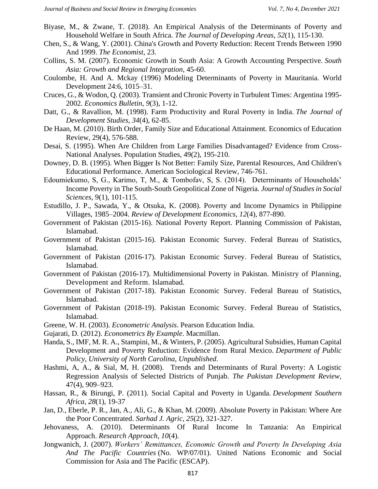- Biyase, M., & Zwane, T. (2018). An Empirical Analysis of the Determinants of Poverty and Household Welfare in South Africa. *The Journal of Developing Areas*, *52*(1), 115-130.
- Chen, S., & Wang, Y. (2001). China's Growth and Poverty Reduction: Recent Trends Between 1990 And 1999. *The Economist*, 23.
- Collins, S. M. (2007). Economic Growth in South Asia: A Growth Accounting Perspective. *South Asia: Growth and Regional Integration*, 45-60.
- Coulombe, H. And A. Mckay (1996) Modeling Determinants of Poverty in Mauritania. World Development 24:6, 1015–31.
- Cruces, G., & Wodon, Q. (2003). Transient and Chronic Poverty in Turbulent Times: Argentina 1995- 2002. *Economics Bulletin*, *9*(3), 1-12.
- Datt, G., & Ravallion, M. (1998). Farm Productivity and Rural Poverty in India. *The Journal of Development Studies*, *34*(4), 62-85.
- De Haan, M. (2010). Birth Order, Family Size and Educational Attainment. Economics of Education Review, 29(4), 576-588.
- Desai, S. (1995). When Are Children from Large Families Disadvantaged? Evidence from Cross-National Analyses. Population Studies, 49(2), 195-210.
- Downey, D. B. (1995). When Bigger Is Not Better: Family Size, Parental Resources, And Children's Educational Performance. American Sociological Review, 746-761.
- Edoumiekumo, S, G., Karimo, T, M., & Tombofav, S, S. (2014). Determinants of Households' Income Poverty in The South-South Geopolitical Zone of Nigeria. *Journal of Studies in Social Sciences*, 9(1), 101-115.
- Estudillo, J. P., Sawada, Y., & Otsuka, K. (2008). Poverty and Income Dynamics in Philippine Villages, 1985–2004. *Review of Development Economics*, *12*(4), 877-890.
- Government of Pakistan (2015-16). National Poverty Report. Planning Commission of Pakistan, Islamabad.
- Government of Pakistan (2015-16). Pakistan Economic Survey. Federal Bureau of Statistics, Islamabad.
- Government of Pakistan (2016-17). Pakistan Economic Survey. Federal Bureau of Statistics, Islamabad.
- Government of Pakistan (2016-17). Multidimensional Poverty in Pakistan. Ministry of Planning, Development and Reform. Islamabad.
- Government of Pakistan (2017-18). Pakistan Economic Survey. Federal Bureau of Statistics, Islamabad.
- Government of Pakistan (2018-19). Pakistan Economic Survey. Federal Bureau of Statistics, Islamabad.
- Greene, W. H. (2003). *Econometric Analysis*. Pearson Education India.
- Gujarati, D. (2012). *Econometrics By Example*. Macmillan.
- Handa, S., IMF, M. R. A., Stampini, M., & Winters, P. (2005). Agricultural Subsidies, Human Capital Development and Poverty Reduction: Evidence from Rural Mexico. *Department of Public Policy, University of North Carolina, Unpublished*.
- Hashmi, A, A., & Sial, M, H. (2008). Trends and Determinants of Rural Poverty: A Logistic Regression Analysis of Selected Districts of Punjab. *The Pakistan Development Review,*  47(4), 909–923.
- Hassan, R., & Birungi, P. (2011). Social Capital and Poverty in Uganda. *Development Southern Africa*, *28*(1), 19-37
- Jan, D., Eberle, P. R., Jan, A., Ali, G., & Khan, M. (2009). Absolute Poverty in Pakistan: Where Are the Poor Concentrated. *Sarhad J. Agric*, *25*(2), 321-327.
- Jehovaness, A. (2010). Determinants Of Rural Income In Tanzania: An Empirical Approach. *Research Approach*, *10*(4).
- Jongwanich, J. (2007). *Workers' Remittances, Economic Growth and Poverty In Developing Asia And The Pacific Countries* (No. WP/07/01). United Nations Economic and Social Commission for Asia and The Pacific (ESCAP).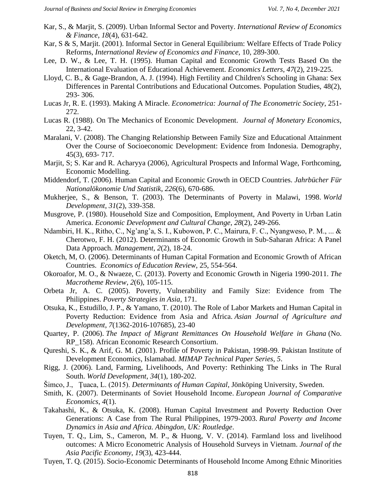- Kar, S., & Marjit, S. (2009). Urban Informal Sector and Poverty. *International Review of Economics & Finance*, *18*(4), 631-642.
- Kar, S & S, Marjit. (2001). Informal Sector in General Equilibrium: Welfare Effects of Trade Policy Reforms, *International Review of Economics and Finance,* 10, 289-300.
- Lee, D. W., & Lee, T. H. (1995). Human Capital and Economic Growth Tests Based On the International Evaluation of Educational Achievement. *Economics Letters*, *47*(2), 219-225.
- Lloyd, C. B., & Gage-Brandon, A. J. (1994). High Fertility and Children's Schooling in Ghana: Sex Differences in Parental Contributions and Educational Outcomes. Population Studies, 48(2), 293- 306.
- Lucas Jr, R. E. (1993). Making A Miracle. *Econometrica: Journal of The Econometric Society*, 251- 272.
- Lucas R. (1988). On The Mechanics of Economic Development. *Journal of Monetary Economics,*  22, 3-42.
- Maralani, V. (2008). The Changing Relationship Between Family Size and Educational Attainment Over the Course of Socioeconomic Development: Evidence from Indonesia. Demography, 45(3), 693- 717.
- Marjit, S; S. Kar and R. Acharyya (2006), Agricultural Prospects and Informal Wage, Forthcoming, Economic Modelling.
- Middendorf, T. (2006). Human Capital and Economic Growth in OECD Countries. *Jahrbücher Für Nationalökonomie Und Statistik*, *226*(6), 670-686.
- Mukherjee, S., & Benson, T. (2003). The Determinants of Poverty in Malawi, 1998. *World Development*, *31*(2), 339-358.
- Musgrove, P. (1980). Household Size and Composition, Employment, And Poverty in Urban Latin America. *Economic Development and Cultural Change*, *28*(2), 249-266.
- Ndambiri, H. K., Ritho, C., Ng'ang'a, S. I., Kubowon, P. C., Mairura, F. C., Nyangweso, P. M., ... & Cherotwo, F. H. (2012). Determinants of Economic Growth in Sub-Saharan Africa: A Panel Data Approach. *Management*, *2*(2), 18-24.
- Oketch, M, O. (2006). Determinants of Human Capital Formation and Economic Growth of African Countries. *Economics of Education Review*, 25, 554-564.
- Okoroafor, M. O., & Nwaeze, C. (2013). Poverty and Economic Growth in Nigeria 1990-2011. *The Macrotheme Review*, *2*(6), 105-115.
- Orbeta Jr, A. C. (2005). Poverty, Vulnerability and Family Size: Evidence from The Philippines. *Poverty Strategies in Asia*, 171.
- Otsuka, K., Estudillo, J. P., & Yamano, T. (2010). The Role of Labor Markets and Human Capital in Poverty Reduction: Evidence from Asia and Africa. *Asian Journal of Agriculture and Development*, *7*(1362-2016-107685), 23-40
- Quartey, P. (2006). *The Impact of Migrant Remittances On Household Welfare in Ghana* (No. RP\_158). African Economic Research Consortium.
- Qureshi, S. K., & Arif, G. M. (2001). Profile of Poverty in Pakistan, 1998-99. Pakistan Institute of Development Economics, Islamabad. *MIMAP Technical Paper Series*, *5*.
- Rigg, J. (2006). Land, Farming, Livelihoods, And Poverty: Rethinking The Links in The Rural South. *World Development*, *34*(1), 180-202.
- Šimco, J., Ţuaca, L. (2015). *Determinants of Human Capital*, Jönköping University, Sweden.
- Smith, K. (2007). Determinants of Soviet Household Income. *European Journal of Comparative Economics*, *4*(1).
- Takahashi, K., & Otsuka, K. (2008). Human Capital Investment and Poverty Reduction Over Generations: A Case from The Rural Philippines, 1979-2003. *Rural Poverty and Income Dynamics in Asia and Africa. Abingdon, UK: Routledge*.
- Tuyen, T. Q., Lim, S., Cameron, M. P., & Huong, V. V. (2014). Farmland loss and livelihood outcomes: A Micro Econometric Analysis of Household Surveys in Vietnam. *Journal of the Asia Pacific Economy*, *19*(3), 423-444.
- Tuyen, T. Q. (2015). Socio-Economic Determinants of Household Income Among Ethnic Minorities